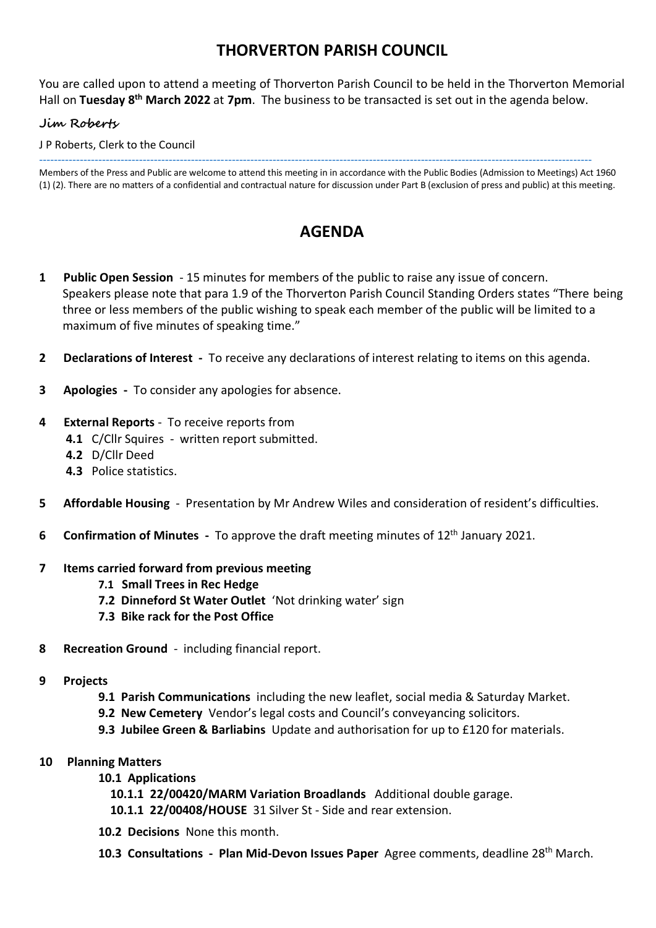## **THORVERTON PARISH COUNCIL**

You are called upon to attend a meeting of Thorverton Parish Council to be held in the Thorverton Memorial Hall on Tuesday 8<sup>th</sup> March 2022 at 7pm. The business to be transacted is set out in the agenda below.

### **Jim Roberts**

J P Roberts, Clerk to the Council

----------------------------------------------------------------------------------------------------------------------------------------------------- Members of the Press and Public are welcome to attend this meeting in in accordance with the Public Bodies (Admission to Meetings) Act 1960 (1) (2). There are no matters of a confidential and contractual nature for discussion under Part B (exclusion of press and public) at this meeting.

# **AGENDA**

- **1 Public Open Session** 15 minutes for members of the public to raise any issue of concern. Speakers please note that para 1.9 of the Thorverton Parish Council Standing Orders states "There being three or less members of the public wishing to speak each member of the public will be limited to a maximum of five minutes of speaking time."
- **2 Declarations of Interest** To receive any declarations of interest relating to items on this agenda.
- **3 Apologies** To consider any apologies for absence.

#### **4 External Reports** - To receive reports from

- **4.1** C/Cllr Squires written report submitted.
- **4.2** D/Cllr Deed
- **4.3** Police statistics.
- **5 Affordable Housing** Presentation by Mr Andrew Wiles and consideration of resident's difficulties.
- **6** Confirmation of Minutes To approve the draft meeting minutes of 12<sup>th</sup> January 2021.

#### **7 Items carried forward from previous meeting**

- **7.1 Small Trees in Rec Hedge**
- **7.2 Dinneford St Water Outlet** 'Not drinking water' sign
- **7.3 Bike rack for the Post Office**
- **8 Recreation Ground**  including financial report.
- **9 Projects**
	- **9.1 Parish Communications** including the new leaflet, social media & Saturday Market.
	- **9.2 New Cemetery** Vendor's legal costs and Council's conveyancing solicitors.
	- **9.3 Jubilee Green & Barliabins** Update and authorisation for up to £120 for materials.

#### **10 Planning Matters**

- **10.1 Applications**
	- **10.1.1 22/00420/MARM Variation Broadlands** Additional double garage.
	- **10.1.1 22/00408/HOUSE** 31 Silver St Side and rear extension.
- **10.2 Decisions** None this month.
- **10.3 Consultations Plan Mid-Devon Issues Paper** Agree comments, deadline 28th March.